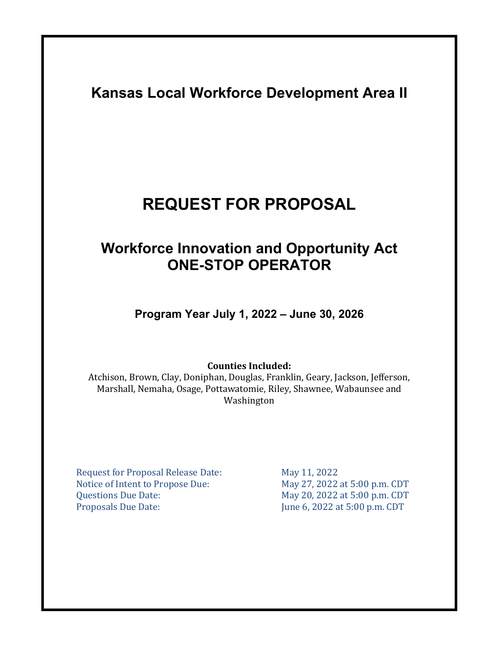# **Kansas Local Workforce Development Area II**

# **REQUEST FOR PROPOSAL**

# **Workforce Innovation and Opportunity Act ONE-STOP OPERATOR**

**Program Year July 1, 2022 – June 30, 2026** 

**Counties Included:**

Atchison, Brown, Clay, Doniphan, Douglas, Franklin, Geary, Jackson, Jefferson, Marshall, Nemaha, Osage, Pottawatomie, Riley, Shawnee, Wabaunsee and Washington

Request for Proposal Release Date: May 11, 2022<br>Notice of Intent to Propose Due: May 27, 2022 at 5:00 p.m. CDT Notice of Intent to Propose Due:<br>Questions Due Date: Questions Due Date: May 20, 2022 at 5:00 p.m. CDT<br>Proposals Due Date: June 6, 2022 at 5:00 p.m. CDT

June 6, 2022 at 5:00 p.m. CDT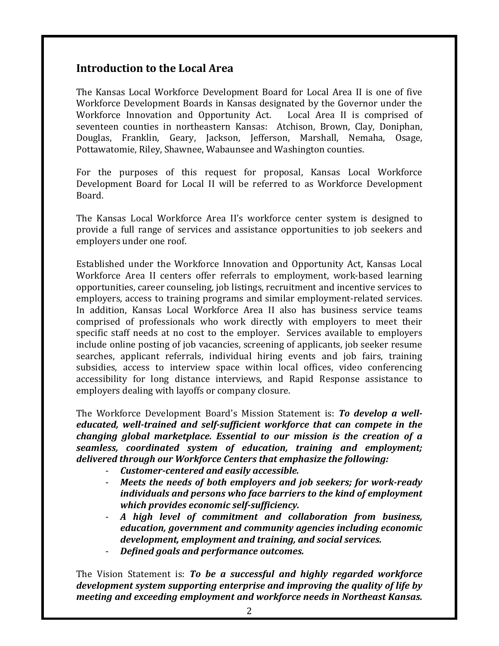# **Introduction to the Local Area**

The Kansas Local Workforce Development Board for Local Area II is one of five Workforce Development Boards in Kansas designated by the Governor under the Workforce Innovation and Opportunity Act. Local Area II is comprised of Workforce Innovation and Opportunity Act. seventeen counties in northeastern Kansas: Atchison, Brown, Clay, Doniphan, Douglas, Franklin, Geary, Jackson, Jefferson, Marshall, Nemaha, Osage, Pottawatomie, Riley, Shawnee, Wabaunsee and Washington counties.

For the purposes of this request for proposal, Kansas Local Workforce Development Board for Local II will be referred to as Workforce Development Board.

The Kansas Local Workforce Area II's workforce center system is designed to provide a full range of services and assistance opportunities to job seekers and employers under one roof.

Established under the Workforce Innovation and Opportunity Act, Kansas Local Workforce Area II centers offer referrals to employment, work-based learning opportunities, career counseling, job listings, recruitment and incentive services to employers, access to training programs and similar employment-related services. In addition, Kansas Local Workforce Area II also has business service teams comprised of professionals who work directly with employers to meet their specific staff needs at no cost to the employer. Services available to employers include online posting of job vacancies, screening of applicants, job seeker resume searches, applicant referrals, individual hiring events and job fairs, training subsidies, access to interview space within local offices, video conferencing accessibility for long distance interviews, and Rapid Response assistance to employers dealing with layoffs or company closure.

The Workforce Development Board's Mission Statement is: *To develop a welleducated, well-trained and self-sufficient workforce that can compete in the changing global marketplace. Essential to our mission is the creation of a seamless, coordinated system of education, training and employment; delivered through our Workforce Centers that emphasize the following:* 

- *Customer-centered and easily accessible.*
- *Meets the needs of both employers and job seekers; for work-ready individuals and persons who face barriers to the kind of employment which provides economic self-sufficiency.*
- *A high level of commitment and collaboration from business, education, government and community agencies including economic development, employment and training, and social services.*
- *Defined goals and performance outcomes.*

The Vision Statement is: *To be a successful and highly regarded workforce development system supporting enterprise and improving the quality of life by meeting and exceeding employment and workforce needs in Northeast Kansas.*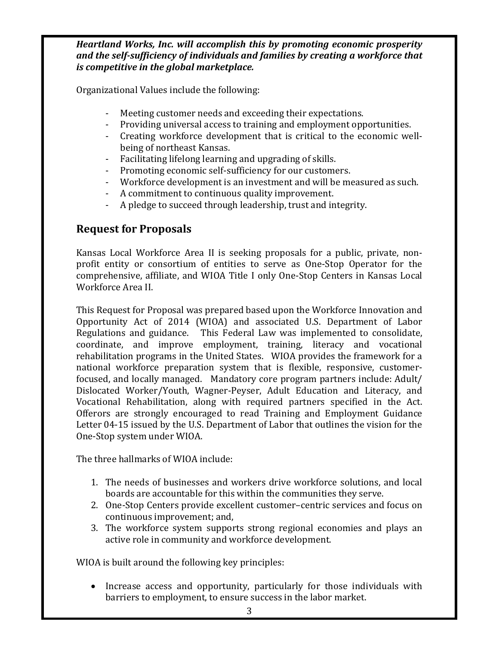#### *Heartland Works, Inc. will accomplish this by promoting economic prosperity and the self-sufficiency of individuals and families by creating a workforce that is competitive in the global marketplace.*

Organizational Values include the following:

- Meeting customer needs and exceeding their expectations.
- Providing universal access to training and employment opportunities.
- Creating workforce development that is critical to the economic wellbeing of northeast Kansas.
- Facilitating lifelong learning and upgrading of skills.
- Promoting economic self-sufficiency for our customers.
- Workforce development is an investment and will be measured as such.
- A commitment to continuous quality improvement.
- A pledge to succeed through leadership, trust and integrity.

# **Request for Proposals**

Kansas Local Workforce Area II is seeking proposals for a public, private, nonprofit entity or consortium of entities to serve as One-Stop Operator for the comprehensive, affiliate, and WIOA Title I only One-Stop Centers in Kansas Local Workforce Area II.

This Request for Proposal was prepared based upon the Workforce Innovation and Opportunity Act of 2014 (WIOA) and associated U.S. Department of Labor Regulations and guidance. This Federal Law was implemented to consolidate, coordinate, and improve employment, training, literacy and vocational rehabilitation programs in the United States. WIOA provides the framework for a national workforce preparation system that is flexible, responsive, customerfocused, and locally managed. Mandatory core program partners include: Adult/ Dislocated Worker/Youth, Wagner-Peyser, Adult Education and Literacy, and Vocational Rehabilitation, along with required partners specified in the Act. Offerors are strongly encouraged to read Training and Employment Guidance Letter 04-15 issued by the U.S. Department of Labor that outlines the vision for the One-Stop system under WIOA.

The three hallmarks of WIOA include:

- 1. The needs of businesses and workers drive workforce solutions, and local boards are accountable for this within the communities they serve.
- 2. One-Stop Centers provide excellent customer–centric services and focus on continuous improvement; and,
- 3. The workforce system supports strong regional economies and plays an active role in community and workforce development.

WIOA is built around the following key principles:

• Increase access and opportunity, particularly for those individuals with barriers to employment, to ensure success in the labor market.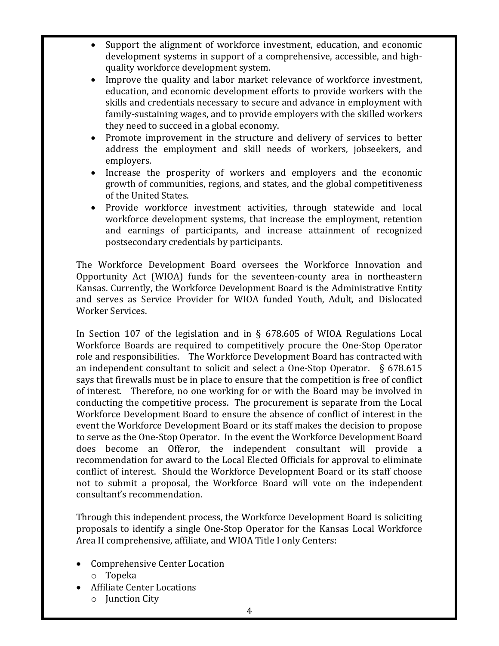- Support the alignment of workforce investment, education, and economic development systems in support of a comprehensive, accessible, and highquality workforce development system.
- Improve the quality and labor market relevance of workforce investment, education, and economic development efforts to provide workers with the skills and credentials necessary to secure and advance in employment with family-sustaining wages, and to provide employers with the skilled workers they need to succeed in a global economy.
- Promote improvement in the structure and delivery of services to better address the employment and skill needs of workers, jobseekers, and employers.
- Increase the prosperity of workers and employers and the economic growth of communities, regions, and states, and the global competitiveness of the United States.
- Provide workforce investment activities, through statewide and local workforce development systems, that increase the employment, retention and earnings of participants, and increase attainment of recognized postsecondary credentials by participants.

The Workforce Development Board oversees the Workforce Innovation and Opportunity Act (WIOA) funds for the seventeen-county area in northeastern Kansas. Currently, the Workforce Development Board is the Administrative Entity and serves as Service Provider for WIOA funded Youth, Adult, and Dislocated Worker Services.

In Section 107 of the legislation and in § 678.605 of WIOA Regulations Local Workforce Boards are required to competitively procure the One-Stop Operator role and responsibilities. The Workforce Development Board has contracted with an independent consultant to solicit and select a One-Stop Operator. § 678.615 says that firewalls must be in place to ensure that the competition is free of conflict of interest. Therefore, no one working for or with the Board may be involved in conducting the competitive process. The procurement is separate from the Local Workforce Development Board to ensure the absence of conflict of interest in the event the Workforce Development Board or its staff makes the decision to propose to serve as the One-Stop Operator. In the event the Workforce Development Board does become an Offeror, the independent consultant will provide a recommendation for award to the Local Elected Officials for approval to eliminate conflict of interest. Should the Workforce Development Board or its staff choose not to submit a proposal, the Workforce Board will vote on the independent consultant's recommendation.

Through this independent process, the Workforce Development Board is soliciting proposals to identify a single One-Stop Operator for the Kansas Local Workforce Area II comprehensive, affiliate, and WIOA Title I only Centers:

- Comprehensive Center Location
	- o Topeka
- Affiliate Center Locations
	- o Junction City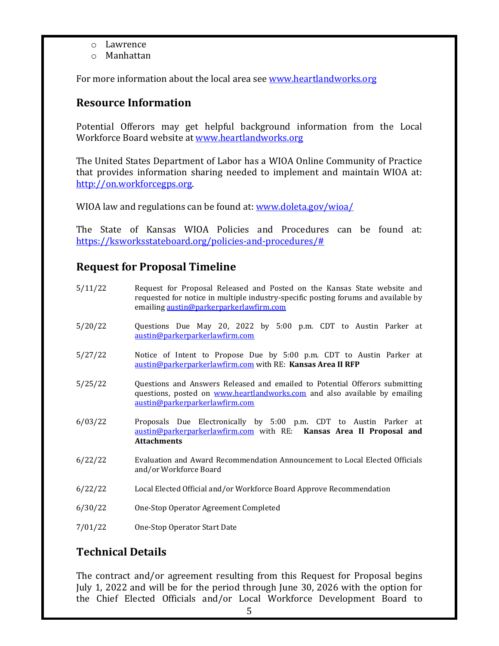- o Lawrence
- o Manhattan

For more information about the local area see www.heartlandworks.org

# **Resource Information**

Potential Offerors may get helpful background information from the Local Workforce Board website at www.heartlandworks.org

The United States Department of Labor has a WIOA Online Community of Practice that provides information sharing needed to implement and maintain WIOA at: http://on.workforcegps.org.

WIOA law and regulations can be found at: www.doleta.gov/wioa/

The State of Kansas WIOA Policies and Procedures can be found at: https://ksworksstateboard.org/policies-and-procedures/#

# **Request for Proposal Timeline**

- 5/11/22 Request for Proposal Released and Posted on the Kansas State website and requested for notice in multiple industry-specific posting forums and available by emailing austin@parkerparkerlawfirm.com
- 5/20/22 Questions Due May 20, 2022 by 5:00 p.m. CDT to Austin Parker at austin@parkerparkerlawfirm.com
- 5/27/22 Notice of Intent to Propose Due by 5:00 p.m. CDT to Austin Parker at austin@parkerparkerlawfirm.com with RE: **Kansas Area II RFP**
- 5/25/22 Questions and Answers Released and emailed to Potential Offerors submitting questions, posted on www.heartlandworks.com and also available by emailing austin@parkerparkerlawfirm.com
- 6/03/22 Proposals Due Electronically by 5:00 p.m. CDT to Austin Parker at austin@parkerparkerlawfirm.com with RE: **Kansas Area II Proposal and Attachments**
- 6/22/22 Evaluation and Award Recommendation Announcement to Local Elected Officials and/or Workforce Board
- 6/22/22 Local Elected Official and/or Workforce Board Approve Recommendation
- 6/30/22 One-Stop Operator Agreement Completed
- 7/01/22 One-Stop Operator Start Date

## **Technical Details**

The contract and/or agreement resulting from this Request for Proposal begins July 1, 2022 and will be for the period through June 30, 2026 with the option for the Chief Elected Officials and/or Local Workforce Development Board to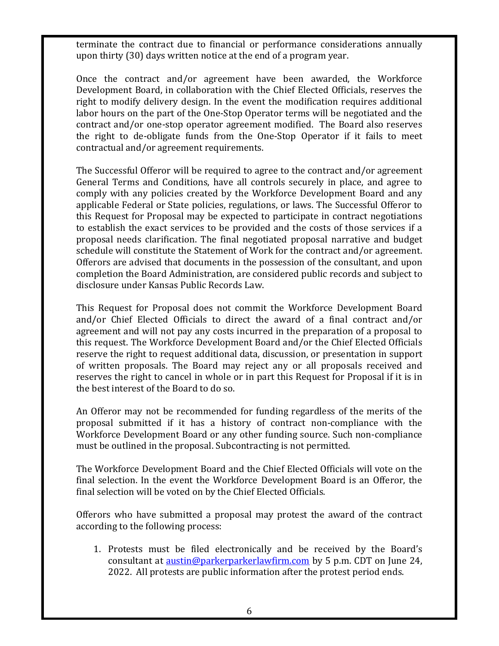terminate the contract due to financial or performance considerations annually upon thirty (30) days written notice at the end of a program year.

Once the contract and/or agreement have been awarded, the Workforce Development Board, in collaboration with the Chief Elected Officials, reserves the right to modify delivery design. In the event the modification requires additional labor hours on the part of the One-Stop Operator terms will be negotiated and the contract and/or one-stop operator agreement modified. The Board also reserves the right to de-obligate funds from the One-Stop Operator if it fails to meet contractual and/or agreement requirements.

The Successful Offeror will be required to agree to the contract and/or agreement General Terms and Conditions, have all controls securely in place, and agree to comply with any policies created by the Workforce Development Board and any applicable Federal or State policies, regulations, or laws. The Successful Offeror to this Request for Proposal may be expected to participate in contract negotiations to establish the exact services to be provided and the costs of those services if a proposal needs clarification. The final negotiated proposal narrative and budget schedule will constitute the Statement of Work for the contract and/or agreement. Offerors are advised that documents in the possession of the consultant, and upon completion the Board Administration, are considered public records and subject to disclosure under Kansas Public Records Law.

This Request for Proposal does not commit the Workforce Development Board and/or Chief Elected Officials to direct the award of a final contract and/or agreement and will not pay any costs incurred in the preparation of a proposal to this request. The Workforce Development Board and/or the Chief Elected Officials reserve the right to request additional data, discussion, or presentation in support of written proposals. The Board may reject any or all proposals received and reserves the right to cancel in whole or in part this Request for Proposal if it is in the best interest of the Board to do so.

An Offeror may not be recommended for funding regardless of the merits of the proposal submitted if it has a history of contract non-compliance with the Workforce Development Board or any other funding source. Such non-compliance must be outlined in the proposal. Subcontracting is not permitted.

The Workforce Development Board and the Chief Elected Officials will vote on the final selection. In the event the Workforce Development Board is an Offeror, the final selection will be voted on by the Chief Elected Officials.

Offerors who have submitted a proposal may protest the award of the contract according to the following process:

1. Protests must be filed electronically and be received by the Board's consultant at **austin@parkerparkerlawfirm.com** by 5 p.m. CDT on June 24, 2022. All protests are public information after the protest period ends.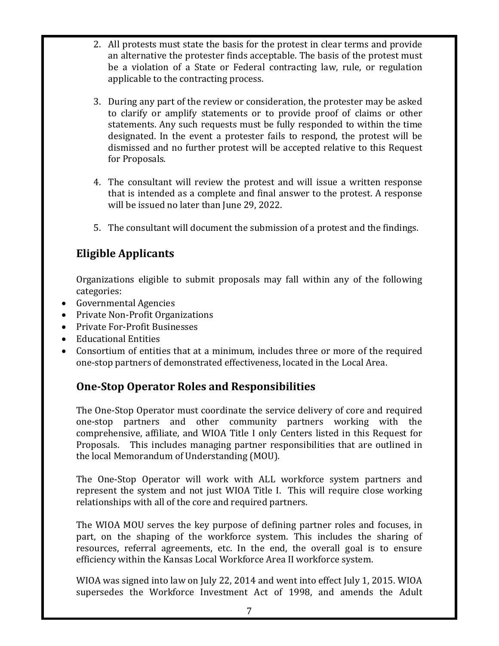- 2. All protests must state the basis for the protest in clear terms and provide an alternative the protester finds acceptable. The basis of the protest must be a violation of a State or Federal contracting law, rule, or regulation applicable to the contracting process.
- 3. During any part of the review or consideration, the protester may be asked to clarify or amplify statements or to provide proof of claims or other statements. Any such requests must be fully responded to within the time designated. In the event a protester fails to respond, the protest will be dismissed and no further protest will be accepted relative to this Request for Proposals.
- 4. The consultant will review the protest and will issue a written response that is intended as a complete and final answer to the protest. A response will be issued no later than June 29, 2022.
- 5. The consultant will document the submission of a protest and the findings.

# **Eligible Applicants**

Organizations eligible to submit proposals may fall within any of the following categories:

- Governmental Agencies
- Private Non-Profit Organizations
- Private For-Profit Businesses
- Educational Entities
- Consortium of entities that at a minimum, includes three or more of the required one-stop partners of demonstrated effectiveness, located in the Local Area.

# **One-Stop Operator Roles and Responsibilities**

The One-Stop Operator must coordinate the service delivery of core and required one-stop partners and other community partners working with the comprehensive, affiliate, and WIOA Title I only Centers listed in this Request for Proposals. This includes managing partner responsibilities that are outlined in the local Memorandum of Understanding (MOU).

The One-Stop Operator will work with ALL workforce system partners and represent the system and not just WIOA Title I. This will require close working relationships with all of the core and required partners.

The WIOA MOU serves the key purpose of defining partner roles and focuses, in part, on the shaping of the workforce system. This includes the sharing of resources, referral agreements, etc. In the end, the overall goal is to ensure efficiency within the Kansas Local Workforce Area II workforce system.

WIOA was signed into law on July 22, 2014 and went into effect July 1, 2015. WIOA supersedes the Workforce Investment Act of 1998, and amends the Adult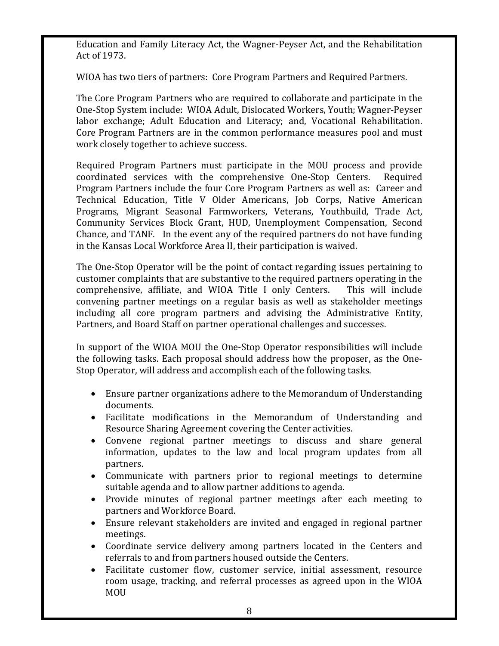Education and Family Literacy Act, the Wagner-Peyser Act, and the Rehabilitation Act of 1973.

WIOA has two tiers of partners: Core Program Partners and Required Partners.

The Core Program Partners who are required to collaborate and participate in the One-Stop System include: WIOA Adult, Dislocated Workers, Youth; Wagner-Peyser labor exchange; Adult Education and Literacy; and, Vocational Rehabilitation. Core Program Partners are in the common performance measures pool and must work closely together to achieve success.

Required Program Partners must participate in the MOU process and provide coordinated services with the comprehensive One-Stop Centers. Required coordinated services with the comprehensive One-Stop Centers. Program Partners include the four Core Program Partners as well as: Career and Technical Education, Title V Older Americans, Job Corps, Native American Programs, Migrant Seasonal Farmworkers, Veterans, Youthbuild, Trade Act, Community Services Block Grant, HUD, Unemployment Compensation, Second Chance, and TANF. In the event any of the required partners do not have funding in the Kansas Local Workforce Area II, their participation is waived.

The One-Stop Operator will be the point of contact regarding issues pertaining to customer complaints that are substantive to the required partners operating in the comprehensive. affiliate, and WIOA Title I only Centers. This will include comprehensive, affiliate, and WIOA Title I only Centers. convening partner meetings on a regular basis as well as stakeholder meetings including all core program partners and advising the Administrative Entity, Partners, and Board Staff on partner operational challenges and successes.

In support of the WIOA MOU the One-Stop Operator responsibilities will include the following tasks. Each proposal should address how the proposer, as the One-Stop Operator, will address and accomplish each of the following tasks.

- Ensure partner organizations adhere to the Memorandum of Understanding documents.
- Facilitate modifications in the Memorandum of Understanding and Resource Sharing Agreement covering the Center activities.
- Convene regional partner meetings to discuss and share general information, updates to the law and local program updates from all partners.
- Communicate with partners prior to regional meetings to determine suitable agenda and to allow partner additions to agenda.
- Provide minutes of regional partner meetings after each meeting to partners and Workforce Board.
- Ensure relevant stakeholders are invited and engaged in regional partner meetings.
- Coordinate service delivery among partners located in the Centers and referrals to and from partners housed outside the Centers.
- Facilitate customer flow, customer service, initial assessment, resource room usage, tracking, and referral processes as agreed upon in the WIOA MOU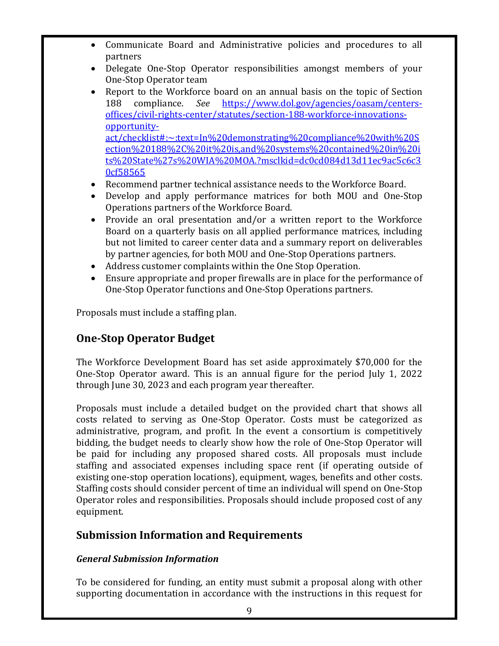- Communicate Board and Administrative policies and procedures to all partners
- Delegate One-Stop Operator responsibilities amongst members of your One-Stop Operator team
- Report to the Workforce board on an annual basis on the topic of Section 188 compliance. *See* https://www.dol.gov/agencies/oasam/centers-188 compliance. *See* https://www.dol.gov/agencies/oasam/centersoffices/civil-rights-center/statutes/section-188-workforce-innovationsopportunityact/checklist#:~:text=In%20demonstrating%20compliance%20with%20S ection%20188%2C%20it%20is,and%20systems%20contained%20in%20i ts%20State%27s%20WIA%20MOA.?msclkid=dc0cd084d13d11ec9ac5c6c3 0cf58565
- Recommend partner technical assistance needs to the Workforce Board.
- Develop and apply performance matrices for both MOU and One-Stop Operations partners of the Workforce Board.
- Provide an oral presentation and/or a written report to the Workforce Board on a quarterly basis on all applied performance matrices, including but not limited to career center data and a summary report on deliverables by partner agencies, for both MOU and One-Stop Operations partners.
- Address customer complaints within the One Stop Operation.
- Ensure appropriate and proper firewalls are in place for the performance of One-Stop Operator functions and One-Stop Operations partners.

Proposals must include a staffing plan.

# **One-Stop Operator Budget**

The Workforce Development Board has set aside approximately \$70,000 for the One-Stop Operator award. This is an annual figure for the period July 1, 2022 through June 30, 2023 and each program year thereafter.

Proposals must include a detailed budget on the provided chart that shows all costs related to serving as One-Stop Operator. Costs must be categorized as administrative, program, and profit. In the event a consortium is competitively bidding, the budget needs to clearly show how the role of One-Stop Operator will be paid for including any proposed shared costs. All proposals must include staffing and associated expenses including space rent (if operating outside of existing one-stop operation locations), equipment, wages, benefits and other costs. Staffing costs should consider percent of time an individual will spend on One-Stop Operator roles and responsibilities. Proposals should include proposed cost of any equipment.

# **Submission Information and Requirements**

## *General Submission Information*

To be considered for funding, an entity must submit a proposal along with other supporting documentation in accordance with the instructions in this request for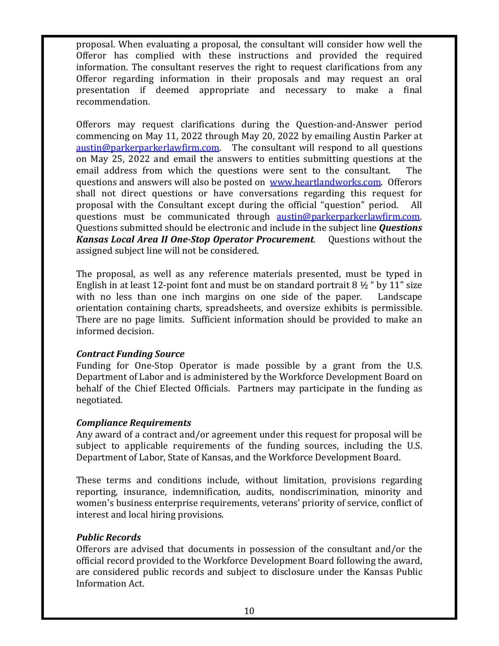proposal. When evaluating a proposal, the consultant will consider how well the Offeror has complied with these instructions and provided the required information. The consultant reserves the right to request clarifications from any Offeror regarding information in their proposals and may request an oral presentation if deemed appropriate and necessary to make a final recommendation.

Offerors may request clarifications during the Question-and-Answer period commencing on May 11, 2022 through May 20, 2022 by emailing Austin Parker at austin@parkerparkerlawfirm.com. The consultant will respond to all questions on May 25, 2022 and email the answers to entities submitting questions at the email address from which the questions were sent to the consultant. The email address from which the questions were sent to the consultant. questions and answers will also be posted on www.heartlandworks.com. Offerors shall not direct questions or have conversations regarding this request for proposal with the Consultant except during the official "question" period. All questions must be communicated through austin@parkerparkerlawfirm.com. Questions submitted should be electronic and include in the subject line *Questions Kansas Local Area II One-Stop Operator Procurement.* Questions without the assigned subject line will not be considered.

The proposal, as well as any reference materials presented, must be typed in English in at least 12-point font and must be on standard portrait  $8\frac{1}{2}$  " by 11" size with no less than one inch margins on one side of the paper. Landscape with no less than one inch margins on one side of the paper. orientation containing charts, spreadsheets, and oversize exhibits is permissible. There are no page limits. Sufficient information should be provided to make an informed decision.

### *Contract Funding Source*

Funding for One-Stop Operator is made possible by a grant from the U.S. Department of Labor and is administered by the Workforce Development Board on behalf of the Chief Elected Officials. Partners may participate in the funding as negotiated.

#### *Compliance Requirements*

Any award of a contract and/or agreement under this request for proposal will be subject to applicable requirements of the funding sources, including the U.S. Department of Labor, State of Kansas, and the Workforce Development Board.

These terms and conditions include, without limitation, provisions regarding reporting, insurance, indemnification, audits, nondiscrimination, minority and women's business enterprise requirements, veterans' priority of service, conflict of interest and local hiring provisions.

### *Public Records*

Offerors are advised that documents in possession of the consultant and/or the official record provided to the Workforce Development Board following the award, are considered public records and subject to disclosure under the Kansas Public Information Act.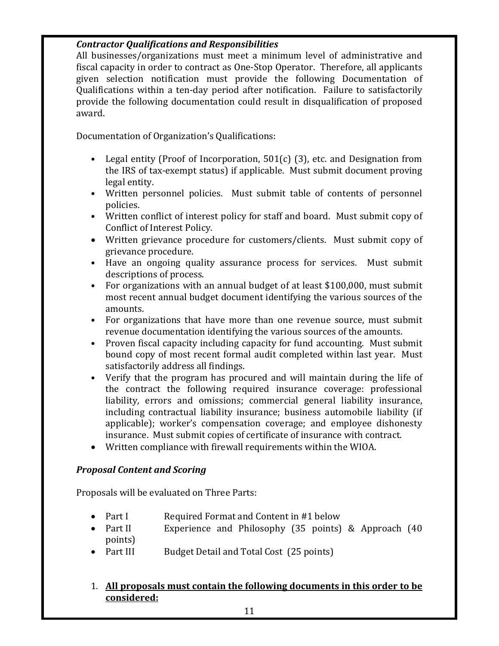### *Contractor Qualifications and Responsibilities*

All businesses/organizations must meet a minimum level of administrative and fiscal capacity in order to contract as One-Stop Operator. Therefore, all applicants given selection notification must provide the following Documentation of Qualifications within a ten-day period after notification. Failure to satisfactorily provide the following documentation could result in disqualification of proposed award.

Documentation of Organization's Qualifications:

- Legal entity (Proof of Incorporation, 501(c) (3), etc. and Designation from the IRS of tax-exempt status) if applicable. Must submit document proving legal entity.
- Written personnel policies. Must submit table of contents of personnel policies.
- Written conflict of interest policy for staff and board. Must submit copy of Conflict of Interest Policy.
- Written grievance procedure for customers/clients. Must submit copy of grievance procedure.
- Have an ongoing quality assurance process for services. Must submit descriptions of process.
- For organizations with an annual budget of at least \$100,000, must submit most recent annual budget document identifying the various sources of the amounts.
- For organizations that have more than one revenue source, must submit revenue documentation identifying the various sources of the amounts.
- Proven fiscal capacity including capacity for fund accounting. Must submit bound copy of most recent formal audit completed within last year. Must satisfactorily address all findings.
- Verify that the program has procured and will maintain during the life of the contract the following required insurance coverage: professional liability, errors and omissions; commercial general liability insurance, including contractual liability insurance; business automobile liability (if applicable); worker's compensation coverage; and employee dishonesty insurance. Must submit copies of certificate of insurance with contract.
- Written compliance with firewall requirements within the WIOA.

## *Proposal Content and Scoring*

Proposals will be evaluated on Three Parts:

- Part I Required Format and Content in #1 below<br>• Part II Experience and Philosophy (35 points)
- Experience and Philosophy (35 points)  $&$  Approach (40 points)<br>• Part III
- Budget Detail and Total Cost (25 points)

### 1. **All proposals must contain the following documents in this order to be considered:**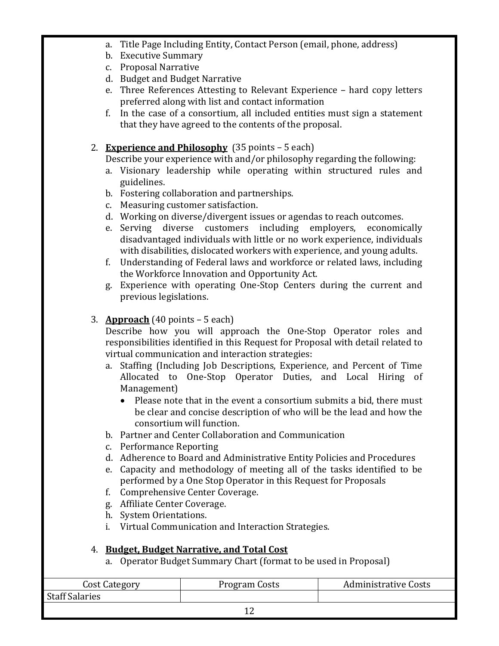- a. Title Page Including Entity, Contact Person (email, phone, address)
- b. Executive Summary
- c. Proposal Narrative
- d. Budget and Budget Narrative
- e. Three References Attesting to Relevant Experience hard copy letters preferred along with list and contact information
- f. In the case of a consortium, all included entities must sign a statement that they have agreed to the contents of the proposal.

## 2. **Experience and Philosophy** (35 points – 5 each)

Describe your experience with and/or philosophy regarding the following:

- a. Visionary leadership while operating within structured rules and guidelines.
- b. Fostering collaboration and partnerships.
- c. Measuring customer satisfaction.
- d. Working on diverse/divergent issues or agendas to reach outcomes.
- e. Serving diverse customers including employers, economically disadvantaged individuals with little or no work experience, individuals with disabilities, dislocated workers with experience, and young adults.
- f. Understanding of Federal laws and workforce or related laws, including the Workforce Innovation and Opportunity Act.
- g. Experience with operating One-Stop Centers during the current and previous legislations.

# 3. **Approach** (40 points – 5 each)

Describe how you will approach the One-Stop Operator roles and responsibilities identified in this Request for Proposal with detail related to virtual communication and interaction strategies:

- a. Staffing (Including Job Descriptions, Experience, and Percent of Time Allocated to One-Stop Operator Duties, and Local Hiring of Management)
	- Please note that in the event a consortium submits a bid, there must be clear and concise description of who will be the lead and how the consortium will function.
- b. Partner and Center Collaboration and Communication
- c. Performance Reporting
- d. Adherence to Board and Administrative Entity Policies and Procedures
- e. Capacity and methodology of meeting all of the tasks identified to be performed by a One Stop Operator in this Request for Proposals
- f. Comprehensive Center Coverage.
- g. Affiliate Center Coverage.
- h. System Orientations.
- i. Virtual Communication and Interaction Strategies.

## 4. **Budget, Budget Narrative, and Total Cost**

a. Operator Budget Summary Chart (format to be used in Proposal)

| Cost Category         | Program Costs | <b>Administrative Costs</b> |
|-----------------------|---------------|-----------------------------|
| <b>Staff Salaries</b> |               |                             |
|                       |               |                             |